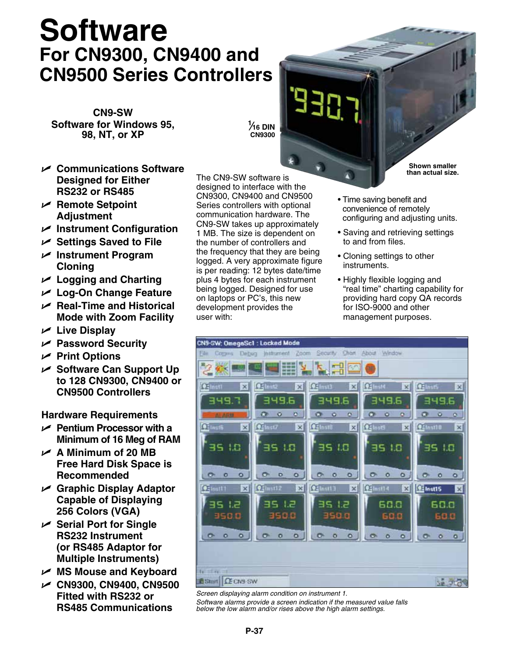## **Software For CN9300, CN9400 and CN9500 Series Controllers**

**CN9-SW Software for Windows 95, 98, NT, or XP** 

U **Communications Software Designed for Either RS232 or RS485**

- U **Remote Setpoint Adjustment**
- U **Instrument Configuration**
- **∠** Settings Saved to File
- U **Instrument Program Cloning**
- U **Logging and Charting**
- U **Log-On Change Feature**
- U **Real-Time and Historical Mode with Zoom Facility**
- **∠** Live Display
- U **Password Security**
- U **Print Options**
- U **Software Can Support Up to 128 CN9300, CN9400 or CN9500 Controllers**

**Hardware Requirements**

- U **Pentium Processor with a Minimum of 16 Meg of RAM**
- $\angle$  A Minimum of 20 MB **Free Hard Disk Space is Recommended**
- U **Graphic Display Adaptor Capable of Displaying 256 Colors (VGA)**
- U **Serial Port for Single RS232 Instrument (or RS485 Adaptor for Multiple Instruments)**
- **► MS Mouse and Keyboard**
- U **CN9300, CN9400, CN9500 Fitted with RS232 or RS485 Communications**

The CN9-SW software is designed to interface with the CN9300, CN9400 and CN9500 Series controllers with optional communication hardware. The CN9-SW takes up approximately 1 MB. The size is dependent on the number of controllers and the frequency that they are being logged. A very approximate figure is per reading: 12 bytes date/time plus 4 bytes for each instrument being logged. Designed for use on laptops or PC's, this new development provides the user with:

**1 ⁄16 DIN CN9300**

> **Shown smaller than actual size.**

- Time saving benefit and convenience of remotely configuring and adjusting units.
- Saving and retrieving settings to and from files.
- Cloning settings to other instruments.
- Highly flexible logging and "real time" charting capability for providing hard copy QA records for ISO-9000 and other management purposes.



*Screen displaying alarm condition on instrument 1. Software alarms provide a screen indication if the measured value falls below the low alarm and/or rises above the high alarm settings.*